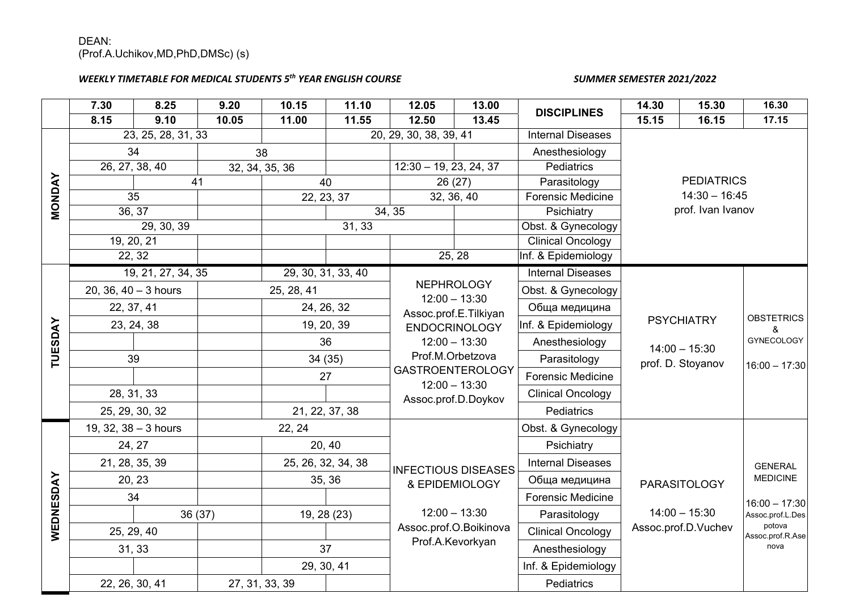## DEAN: (Prof.A.Uchikov,MD,PhD,DMSc) (s)

## *WEEKLY TIMETABLE FOR MEDICAL STUDENTS 5th YEAR ENGLISH COURSE SUMMER SEMESTER 2021/2022*

|               | 7.30                             | 8.25 | 9.20               | 10.15          | 11.10                                                         | 12.05                         | 13.00                    | <b>DISCIPLINES</b>                   | 14.30             | 15.30                             | 16.30                      |
|---------------|----------------------------------|------|--------------------|----------------|---------------------------------------------------------------|-------------------------------|--------------------------|--------------------------------------|-------------------|-----------------------------------|----------------------------|
|               | 8.15                             | 9.10 | 10.05              | 11.00          | 11.55                                                         | 12.50                         | 13.45                    |                                      | 15.15             | 16.15                             | 17.15                      |
|               | 23, 25, 28, 31, 33               |      |                    |                | 20, 29, 30, 38, 39, 41                                        |                               |                          | <b>Internal Diseases</b>             |                   |                                   |                            |
|               | 34<br>38                         |      |                    |                |                                                               | Anesthesiology                |                          |                                      |                   |                                   |                            |
|               | 26, 27, 38, 40<br>32, 34, 35, 36 |      |                    |                | $12:30 - 19, 23, 24, 37$                                      |                               | Pediatrics               |                                      |                   |                                   |                            |
| <b>MONDAY</b> | 41                               |      | 40                 |                | 26(27)                                                        |                               | Parasitology             | <b>PEDIATRICS</b>                    |                   |                                   |                            |
|               | $\overline{35}$                  |      | 22, 23, 37         |                | 32, 36, 40                                                    |                               | <b>Forensic Medicine</b> | $14:30 - 16:45$                      |                   |                                   |                            |
|               | 36, 37                           |      |                    |                |                                                               | 34, 35                        |                          | Psichiatry                           | prof. Ivan Ivanov |                                   |                            |
|               | 29, 30, 39                       |      |                    | 31, 33         |                                                               |                               |                          | Obst. & Gynecology                   |                   |                                   |                            |
|               | 19, 20, 21                       |      |                    |                |                                                               | <b>Clinical Oncology</b>      |                          |                                      |                   |                                   |                            |
|               | 22, 32                           |      |                    |                |                                                               | 25, 28<br>Inf. & Epidemiology |                          |                                      |                   |                                   |                            |
|               | 19, 21, 27, 34, 35               |      |                    |                | 29, 30, 31, 33, 40                                            |                               |                          | <b>Internal Diseases</b>             |                   |                                   |                            |
|               | 20, 36, $40 - 3$ hours           |      | 25, 28, 41         |                | <b>NEPHROLOGY</b><br>$12:00 - 13:30$<br>Assoc.prof.E.Tilkiyan |                               | Obst. & Gynecology       |                                      |                   |                                   |                            |
|               | 22, 37, 41                       |      |                    | 24, 26, 32     |                                                               |                               | Обща медицина            |                                      |                   |                                   |                            |
|               | 23, 24, 38                       |      | 19, 20, 39         |                | <b>ENDOCRINOLOGY</b><br>$12:00 - 13:30$<br>Prof.M.Orbetzova   |                               | Inf. & Epidemiology      | <b>PSYCHIATRY</b>                    |                   | <b>OBSTETRICS</b><br>&            |                            |
|               |                                  |      | 36                 |                |                                                               |                               | Anesthesiology           | $14:00 - 15:30$<br>prof. D. Stoyanov |                   | <b>GYNECOLOGY</b>                 |                            |
| TUESDAY       | 39                               |      | 34(35)             |                |                                                               |                               | Parasitology             |                                      |                   |                                   |                            |
|               |                                  |      |                    | 27             | <b>GASTROENTEROLOGY</b>                                       |                               | Forensic Medicine        |                                      |                   | $16:00 - 17:30$                   |                            |
|               | 28, 31, 33                       |      |                    |                | $12:00 - 13:30$<br>Assoc.prof.D.Doykov                        |                               | <b>Clinical Oncology</b> |                                      |                   |                                   |                            |
|               | 25, 29, 30, 32                   |      | 21, 22, 37, 38     |                |                                                               |                               | Pediatrics               |                                      |                   |                                   |                            |
|               | 19, 32, $38 - 3$ hours           |      | 22, 24             | 20, 40         |                                                               |                               | Obst. & Gynecology       |                                      |                   |                                   |                            |
|               | 24, 27                           |      |                    |                |                                                               |                               | Psichiatry               |                                      |                   |                                   |                            |
|               | 21, 28, 35, 39                   |      | 25, 26, 32, 34, 38 |                | <b>INFECTIOUS DISEASES</b><br>& EPIDEMIOLOGY                  |                               | <b>Internal Diseases</b> | PARASITOLOGY                         |                   | <b>GENERAL</b><br><b>MEDICINE</b> |                            |
|               | 20, 23                           |      | 35, 36             |                |                                                               |                               | Обща медицина            |                                      |                   |                                   |                            |
|               | 34                               |      |                    |                |                                                               |                               | <b>Forensic Medicine</b> |                                      | $16:00 - 17:30$   |                                   |                            |
| WEDNESDAY     |                                  |      | 36 (37)            |                | 19, 28 (23)                                                   |                               | $12:00 - 13:30$          | Parasitology                         |                   | $14:00 - 15:30$                   | Assoc.prof.L.Des           |
|               | 25, 29, 40                       |      |                    |                |                                                               | Assoc.prof.O.Boikinova        |                          | <b>Clinical Oncology</b>             |                   | Assoc.prof.D.Vuchev               | potova<br>Assoc.prof.R.Ase |
|               | 31, 33                           |      |                    |                | 37                                                            |                               | Prof.A.Kevorkyan         | Anesthesiology                       |                   |                                   | nova                       |
|               |                                  |      |                    |                | 29, 30, 41                                                    |                               |                          | Inf. & Epidemiology                  |                   |                                   |                            |
|               | 22, 26, 30, 41                   |      |                    | 27, 31, 33, 39 |                                                               |                               |                          | Pediatrics                           |                   |                                   |                            |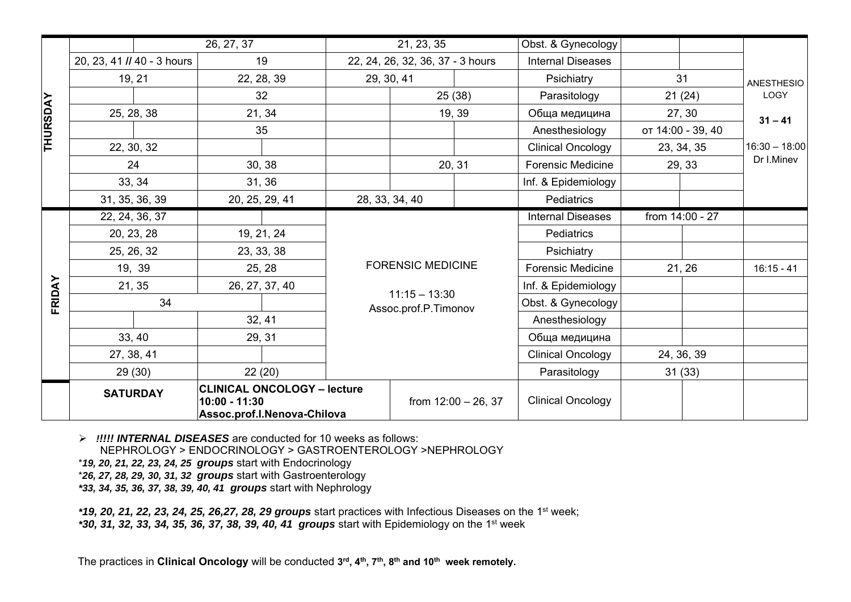|                 |                                                                                                       | 26, 27, 37 |            | 21, 23, 35     |                                  | Obst. & Gynecology       |                          |                          |                   |              |                           |
|-----------------|-------------------------------------------------------------------------------------------------------|------------|------------|----------------|----------------------------------|--------------------------|--------------------------|--------------------------|-------------------|--------------|---------------------------|
|                 | 20, 23, 41 // 40 - 3 hours                                                                            |            |            | 19             | 22, 24, 26, 32, 36, 37 - 3 hours |                          |                          | <b>Internal Diseases</b> |                   |              |                           |
|                 | 19, 21                                                                                                |            |            | 22, 28, 39     |                                  | 29, 30, 41               |                          | Psichiatry               | 31                |              | <b>ANESTHESIO</b><br>LOGY |
|                 |                                                                                                       |            |            | 32             |                                  | 25 (38)                  |                          | Parasitology             | 21(24)            |              |                           |
| <b>THURSDAY</b> | 25, 28, 38                                                                                            |            | 21, 34     |                | 19, 39                           |                          |                          | Обща медицина            | 27, 30            |              | $31 - 41$                 |
|                 |                                                                                                       |            | 35         |                |                                  |                          |                          | Anesthesiology           | от 14:00 - 39, 40 |              | $16:30 - 18:00$           |
|                 | 22, 30, 32                                                                                            |            |            |                |                                  |                          |                          | <b>Clinical Oncology</b> | 23, 34, 35        |              |                           |
|                 | 24                                                                                                    |            |            | 30, 38         |                                  |                          | 20, 31                   | Forensic Medicine        | 29, 33            |              | Dr I.Minev                |
|                 | 33, 34                                                                                                |            |            | 31, 36         |                                  |                          |                          | Inf. & Epidemiology      |                   |              |                           |
|                 | 31, 35, 36, 39                                                                                        |            |            | 20, 25, 29, 41 | 28, 33, 34, 40                   |                          |                          | Pediatrics               |                   |              |                           |
|                 | 22, 24, 36, 37                                                                                        |            |            |                |                                  |                          | <b>Internal Diseases</b> |                          | from 14:00 - 27   |              |                           |
|                 | 20, 23, 28                                                                                            |            | 19, 21, 24 |                |                                  |                          |                          | Pediatrics               |                   |              |                           |
|                 | 25, 26, 32                                                                                            |            | 23, 33, 38 |                | <b>FORENSIC MEDICINE</b>         |                          | Psichiatry               |                          |                   |              |                           |
|                 | 19, 39                                                                                                |            | 25, 28     |                |                                  |                          | <b>Forensic Medicine</b> |                          | 21, 26            | $16:15 - 41$ |                           |
| FRIDAY          | 21, 35                                                                                                |            |            | 26, 27, 37, 40 | $11:15 - 13:30$                  |                          |                          | Inf. & Epidemiology      |                   |              |                           |
|                 | 34                                                                                                    |            |            |                |                                  | Assoc.prof.P.Timonov     |                          | Obst. & Gynecology       |                   |              |                           |
|                 |                                                                                                       |            |            | 32, 41         |                                  |                          |                          | Anesthesiology           |                   |              |                           |
|                 | 33, 40                                                                                                |            | 29, 31     |                |                                  |                          | Обща медицина            |                          |                   |              |                           |
|                 | 27, 38, 41                                                                                            |            | 22(20)     |                |                                  |                          | <b>Clinical Oncology</b> |                          | 24, 36, 39        |              |                           |
|                 | 29(30)                                                                                                |            |            |                |                                  |                          | Parasitology             |                          | 31(33)            |              |                           |
|                 | <b>CLINICAL ONCOLOGY - lecture</b><br><b>SATURDAY</b><br>10:00 - 11:30<br>Assoc.prof.I.Nenova-Chilova |            |            |                | from $12:00 - 26, 37$            | <b>Clinical Oncology</b> |                          |                          |                   |              |                           |

*!!!!! INTERNAL DISEASES* are conducted for 10 weeks as follows:

NEPHROLOGY > ENDOCRINOLOGY > GASTROENTEROLOGY >NEPHROLOGY

\**19, 20, 21, 22, 23, 24, 25 groups* start with Endocrinology

\**26, 27, 28, 29, 30, 31, 32 groups* start with Gastroenterology

*\*33, 34, 35, 36, 37, 38, 39, 40, 41 groups* start with Nephrology

*\*19, 20, 21, 22, 23, 24, 25, 26,27, 28, 29 groups* start practices with Infectious Diseases on the 1st week;

*\*30, 31, 32, 33, 34, 35, 36, 37, 38, 39, 40, 41 groups* start with Epidemiology on the 1st week

The practices in **Clinical Oncology** will be conducted **3rd, 4th, 7th, 8th and 10th week remotely.**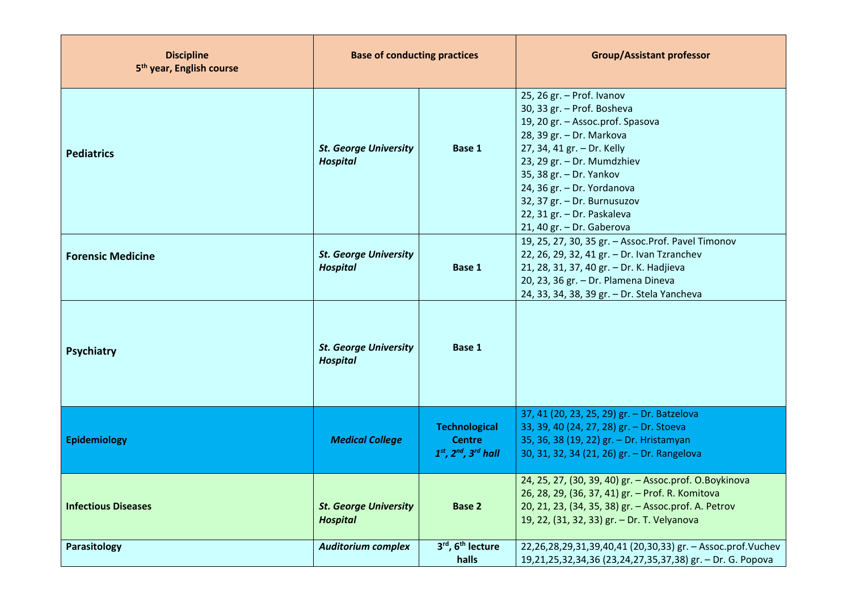| <b>Discipline</b><br>5 <sup>th</sup> year, English course | <b>Base of conducting practices</b>                       |                                                                     | <b>Group/Assistant professor</b>                                                                                                                                                                                                                                                                                                       |  |  |
|-----------------------------------------------------------|-----------------------------------------------------------|---------------------------------------------------------------------|----------------------------------------------------------------------------------------------------------------------------------------------------------------------------------------------------------------------------------------------------------------------------------------------------------------------------------------|--|--|
| <b>Pediatrics</b>                                         | <b>St. George University</b><br><b>Hospital</b>           | Base 1                                                              | 25, 26 gr. - Prof. Ivanov<br>30, 33 gr. - Prof. Bosheva<br>19, 20 gr. - Assoc.prof. Spasova<br>28, 39 gr. - Dr. Markova<br>27, 34, 41 gr. - Dr. Kelly<br>23, 29 gr. - Dr. Mumdzhiev<br>35, 38 gr. - Dr. Yankov<br>24, 36 gr. - Dr. Yordanova<br>32, 37 gr. - Dr. Burnusuzov<br>22, 31 gr. - Dr. Paskaleva<br>21, 40 gr. - Dr. Gaberova |  |  |
| <b>Forensic Medicine</b>                                  | <b>St. George University</b><br>Base 1<br><b>Hospital</b> |                                                                     | 19, 25, 27, 30, 35 gr. - Assoc. Prof. Pavel Timonov<br>22, 26, 29, 32, 41 gr. - Dr. Ivan Tzranchev<br>21, 28, 31, 37, 40 gr. - Dr. K. Hadjieva<br>20, 23, 36 gr. - Dr. Plamena Dineva<br>24, 33, 34, 38, 39 gr. - Dr. Stela Yancheva                                                                                                   |  |  |
| <b>Psychiatry</b>                                         | <b>St. George University</b><br><b>Hospital</b>           | Base 1                                                              |                                                                                                                                                                                                                                                                                                                                        |  |  |
| Epidemiology                                              | <b>Medical College</b>                                    | <b>Technological</b><br><b>Centre</b><br>$1st$ , $2nd$ , $3rd$ hall | 37, 41 (20, 23, 25, 29) gr. - Dr. Batzelova<br>33, 39, 40 (24, 27, 28) gr. - Dr. Stoeva<br>35, 36, 38 (19, 22) gr. - Dr. Hristamyan<br>30, 31, 32, 34 (21, 26) gr. - Dr. Rangelova                                                                                                                                                     |  |  |
| <b>Infectious Diseases</b>                                | <b>St. George University</b><br><b>Hospital</b>           | <b>Base 2</b>                                                       | 24, 25, 27, (30, 39, 40) gr. - Assoc.prof. O.Boykinova<br>26, 28, 29, (36, 37, 41) gr. - Prof. R. Komitova<br>20, 21, 23, (34, 35, 38) gr. - Assoc.prof. A. Petrov<br>19, 22, (31, 32, 33) gr. - Dr. T. Velyanova                                                                                                                      |  |  |
| Parasitology                                              | <b>Auditorium complex</b>                                 | 3rd, 6 <sup>th</sup> lecture<br>halls                               | 22,26,28,29,31,39,40,41 (20,30,33) gr. - Assoc.prof.Vuchev<br>19,21,25,32,34,36 (23,24,27,35,37,38) gr. - Dr. G. Popova                                                                                                                                                                                                                |  |  |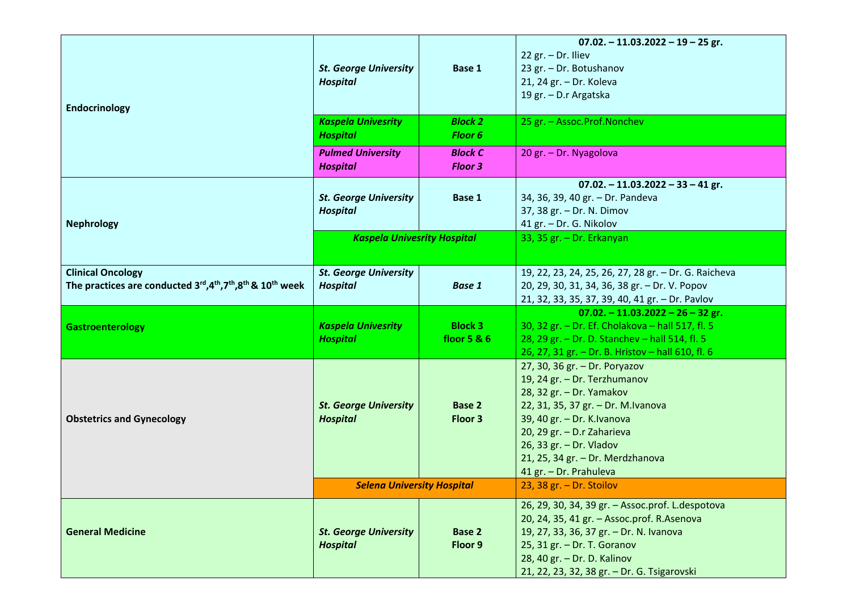| <b>Endocrinology</b>                                                                                      | <b>St. George University</b><br><b>Hospital</b>                           | Base 1                        | $07.02 - 11.03.2022 - 19 - 25$ gr.<br>22 gr. $-$ Dr. Iliev<br>23 gr. - Dr. Botushanov<br>21, 24 gr. - Dr. Koleva<br>19 gr. - D.r Argatska                                                                                                                                             |  |
|-----------------------------------------------------------------------------------------------------------|---------------------------------------------------------------------------|-------------------------------|---------------------------------------------------------------------------------------------------------------------------------------------------------------------------------------------------------------------------------------------------------------------------------------|--|
|                                                                                                           | <b>Kaspela Univesrity</b><br><b>Block 2</b><br><b>Hospital</b><br>Floor 6 |                               | 25 gr. - Assoc.Prof.Nonchev                                                                                                                                                                                                                                                           |  |
|                                                                                                           | <b>Pulmed University</b><br><b>Hospital</b>                               | <b>Block C</b><br>Floor 3     | 20 gr. - Dr. Nyagolova                                                                                                                                                                                                                                                                |  |
| <b>Nephrology</b>                                                                                         | <b>St. George University</b><br><b>Hospital</b>                           | Base 1                        | $07.02 - 11.03.2022 - 33 - 41$ gr.<br>34, 36, 39, 40 gr. - Dr. Pandeva<br>37, 38 gr. - Dr. N. Dimov<br>41 gr. - Dr. G. Nikolov                                                                                                                                                        |  |
|                                                                                                           | <b>Kaspela Univesrity Hospital</b>                                        |                               | 33, 35 gr. - Dr. Erkanyan                                                                                                                                                                                                                                                             |  |
| <b>Clinical Oncology</b><br>The practices are conducted $3^{rd}, 4^{th}, 7^{th}, 8^{th}$ & $10^{th}$ week | <b>St. George University</b><br><b>Hospital</b>                           | <b>Base 1</b>                 | 19, 22, 23, 24, 25, 26, 27, 28 gr. - Dr. G. Raicheva<br>20, 29, 30, 31, 34, 36, 38 gr. - Dr. V. Popov<br>21, 32, 33, 35, 37, 39, 40, 41 gr. - Dr. Pavlov                                                                                                                              |  |
| <b>Gastroenterology</b>                                                                                   | <b>Kaspela Univesrity</b><br><b>Hospital</b>                              | <b>Block 3</b><br>floor 5 & 6 | $07.02 - 11.03.2022 - 26 - 32$ gr.<br>30, 32 gr. - Dr. Ef. Cholakova - hall 517, fl. 5<br>28, 29 gr. - Dr. D. Stanchev - hall 514, fl. 5<br>26, 27, 31 gr. - Dr. B. Hristov - hall 610, fl. 6                                                                                         |  |
| <b>Obstetrics and Gynecology</b>                                                                          | <b>St. George University</b><br><b>Hospital</b>                           | <b>Base 2</b><br>Floor 3      | 27, 30, 36 gr. - Dr. Poryazov<br>19, 24 gr. - Dr. Terzhumanov<br>28, 32 gr. - Dr. Yamakov<br>22, 31, 35, 37 gr. - Dr. M.Ivanova<br>39, 40 gr. - Dr. K. Ivanova<br>20, 29 gr. - D.r Zaharieva<br>26, 33 gr. - Dr. Vladov<br>21, 25, 34 gr. - Dr. Merdzhanova<br>41 gr. - Dr. Prahuleva |  |
|                                                                                                           | <b>Selena University Hospital</b>                                         |                               | 23, 38 $gr. - Dr. Stoilov$                                                                                                                                                                                                                                                            |  |
| <b>General Medicine</b>                                                                                   | <b>St. George University</b><br><b>Hospital</b>                           | Base 2<br>Floor 9             | 26, 29, 30, 34, 39 gr. - Assoc.prof. L.despotova<br>20, 24, 35, 41 gr. - Assoc.prof. R.Asenova<br>19, 27, 33, 36, 37 gr. - Dr. N. Ivanova<br>25, 31 gr. - Dr. T. Goranov<br>28, 40 gr. - Dr. D. Kalinov<br>21, 22, 23, 32, 38 gr. - Dr. G. Tsigarovski                                |  |